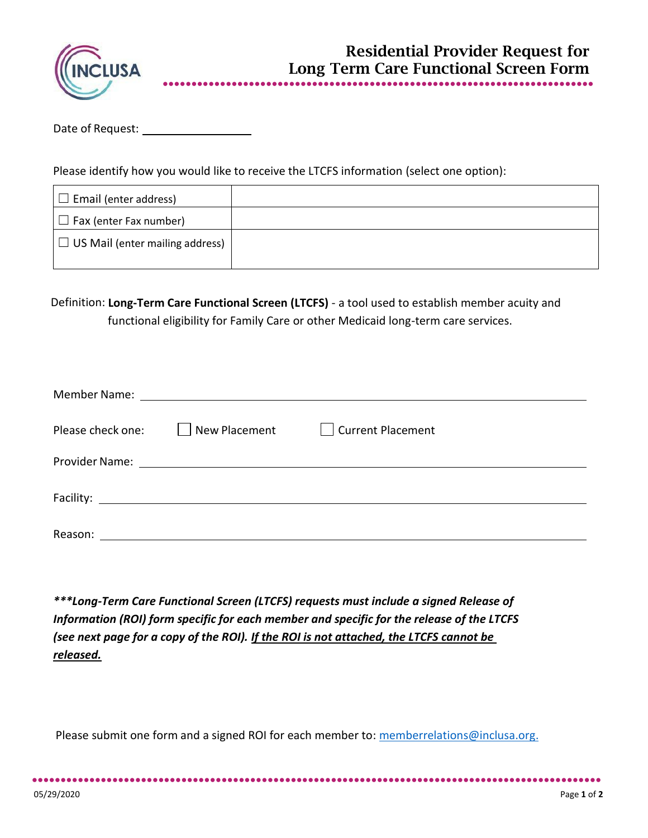

## Date of Request:

Please identify how you would like to receive the LTCFS information (select one option):

| $\Box$ Email (enter address)           |  |
|----------------------------------------|--|
| $\Box$ Fax (enter Fax number)          |  |
| $\Box$ US Mail (enter mailing address) |  |

Definition: **Long-Term Care Functional Screen (LTCFS)** - a tool used to establish member acuity and functional eligibility for Family Care or other Medicaid long-term care services.

| Please check one: | New Placement | Current Placement |  |
|-------------------|---------------|-------------------|--|
|                   |               |                   |  |
|                   |               |                   |  |
| Reason:           |               |                   |  |

*\*\*\*Long-Term Care Functional Screen (LTCFS) requests must include a signed Release of Information (ROI) form specific for each member and specific for the release of the LTCFS (see next page for a copy of the ROI). If the ROI is not attached, the LTCFS cannot be released.*

Please submit one form and a signed ROI for each member to: [memberrelations@inclusa.org.](mailto:memberrelations@inclusa.org)

●●●●●●●●●●●●●●●●●●●●●●●●●●●●●●●●●●●●●●●●●●●●●●●●●●●●●●●●●●●●●●●●●●●●●●●●●●●●●●●●●●●●●●●●●●●●●●●●●●●